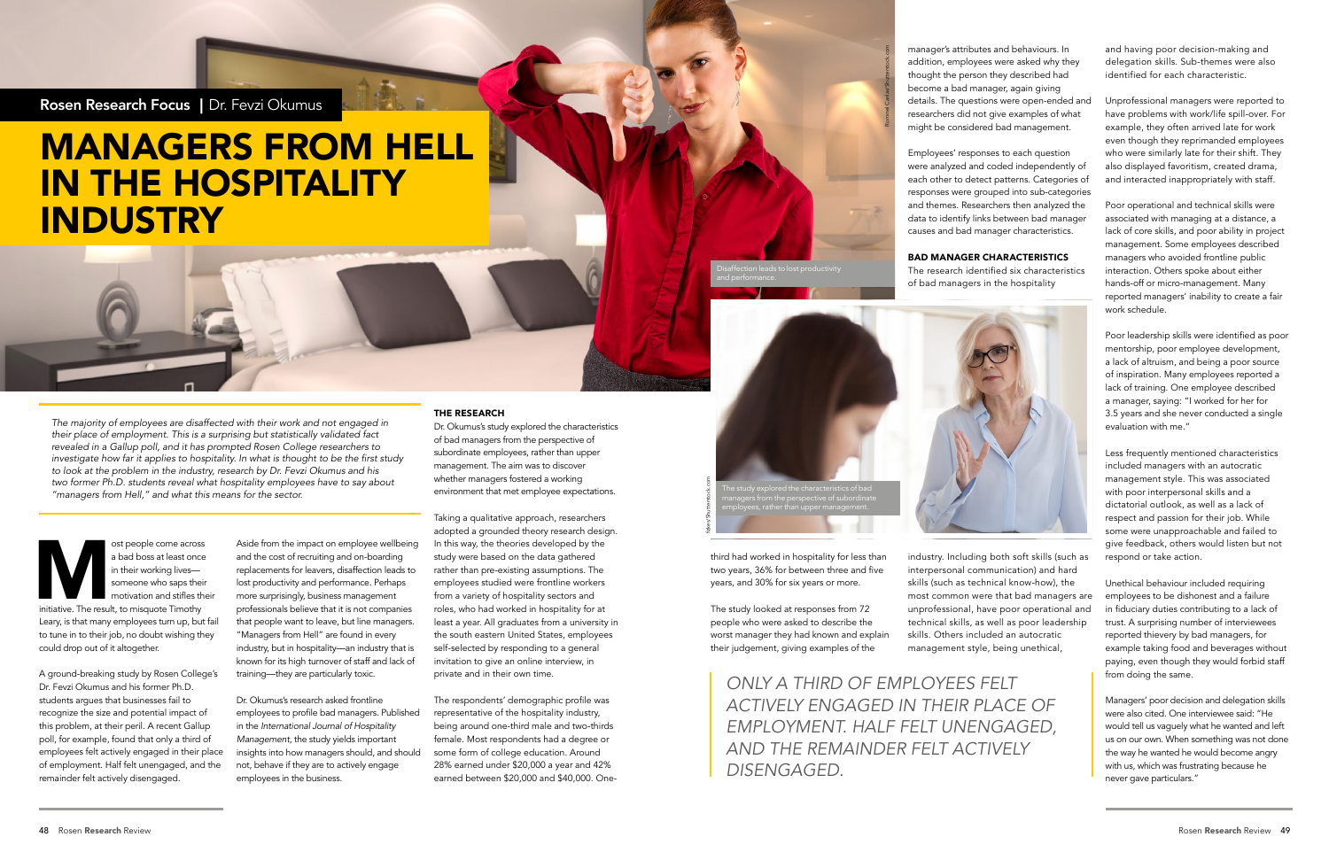Rosen Research Focus | Dr. Fevzi Okumus

# MANAGERS FROM HELL IN THE HOSPITALITY INDUSTRY

*The majority of employees are disaffected with their work and not engaged in their place of employment. This is a surprising but statistically validated fact revealed in a Gallup poll, and it has prompted Rosen College researchers to*  investigate how far it applies to hospitality. In what is thought to be the first study *to look at the problem in the industry, research by Dr. Fevzi Okumus and his two former Ph.D. students reveal what hospitality employees have to say about "managers from Hell," and what this means for the sector.*

ost people come across<br>
a bad boss at least once<br>
in their working lives—<br>
someone who saps their<br>
motivation and stifles the<br>
initiative. The result, to misquote Timothy<br>
lease in the result are proposed the up-but a bad boss at least once in their working lives someone who saps their motivation and stifles their Leary, is that many employees turn up, but fail to tune in to their job, no doubt wishing they could drop out of it altogether.

A ground-breaking study by Rosen College's Dr. Fevzi Okumus and his former Ph.D. students argues that businesses fail to recognize the size and potential impact of this problem, at their peril. A recent Gallup poll, for example, found that only a third of employees felt actively engaged in their place of employment. Half felt unengaged, and the remainder felt actively disengaged.

Aside from the impact on employee wellbeing and the cost of recruiting and on-boarding replacements for leavers, disaffection leads to lost productivity and performance. Perhaps more surprisingly, business management professionals believe that it is not companies that people want to leave, but line managers. "Managers from Hell" are found in every industry, but in hospitality—an industry that is known for its high turnover of staff and lack of training—they are particularly toxic.

Dr. Okumus's research asked frontline employees to profile bad managers. Published in the *International Journal of Hospitality Management*, the study yields important insights into how managers should, and should not, behave if they are to actively engage employees in the business.

#### THE RESEARCH

Dr. Okumus's study explored the characteristics of bad managers from the perspective of subordinate employees, rather than upper management. The aim was to discover whether managers fostered a working environment that met employee expectations.

Taking a qualitative approach, researchers adopted a grounded theory research design. In this way, the theories developed by the study were based on the data gathered rather than pre-existing assumptions. The employees studied were frontline workers from a variety of hospitality sectors and roles, who had worked in hospitality for at least a year. All graduates from a university in the south eastern United States, employees self-selected by responding to a general invitation to give an online interview, in private and in their own time.

The respondents' demographic profile was representative of the hospitality industry, being around one-third male and two-thirds female. Most respondents had a degree or some form of college education. Around 28% earned under \$20,000 a year and 42% earned between \$20,000 and \$40,000. Onethird had worked in hospitality for less than two years, 36% for between three and five years, and 30% for six years or more.

The study looked at responses from 72 people who were asked to describe the worst manager they had known and explain their judgement, giving examples of the

manager's attributes and behaviours. In addition, employees were asked why they thought the person they described had become a bad manager, again giving details. The questions were open-ended and researchers did not give examples of what might be considered bad management.

Employees' responses to each question were analyzed and coded independently of each other to detect patterns. Categories of responses were grouped into sub-categories and themes. Researchers then analyzed the data to identify links between bad manager causes and bad manager characteristics.

#### BAD MANAGER CHARACTERISTICS

The research identified six characteristics of bad managers in the hospitality



industry. Including both soft skills (such as interpersonal communication) and hard skills (such as technical know-how), the most common were that bad managers are unprofessional, have poor operational and technical skills, as well as poor leadership skills. Others included an autocratic management style, being unethical,

and having poor decision-making and delegation skills. Sub-themes were also identified for each characteristic.

Unprofessional managers were reported to have problems with work/life spill-over. For example, they often arrived late for work even though they reprimanded employees who were similarly late for their shift. They also displayed favoritism, created drama, and interacted inappropriately with staff.

Poor operational and technical skills were associated with managing at a distance, a lack of core skills, and poor ability in project management. Some employees described managers who avoided frontline public interaction. Others spoke about either hands-off or micro-management. Many reported managers' inability to create a fair work schedule.

Poor leadership skills were identified as poor mentorship, poor employee development, a lack of altruism, and being a poor source of inspiration. Many employees reported a lack of training. One employee described a manager, saying: "I worked for her for 3.5 years and she never conducted a single evaluation with me."

Less frequently mentioned characteristics included managers with an autocratic management style. This was associated with poor interpersonal skills and a dictatorial outlook, as well as a lack of respect and passion for their job. While some were unapproachable and failed to give feedback, others would listen but not respond or take action.

Unethical behaviour included requiring employees to be dishonest and a failure in fiduciary duties contributing to a lack of trust. A surprising number of interviewees reported thievery by bad managers, for example taking food and beverages without paying, even though they would forbid staff from doing the same.

Managers' poor decision and delegation skills were also cited. One interviewee said: "He would tell us vaguely what he wanted and left us on our own. When something was not done the way he wanted he would become angry with us, which was frustrating because he never gave particulars."

*ONLY A THIRD OF EMPLOYEES FELT ACTIVELY ENGAGED IN THEIR PLACE OF EMPLOYMENT. HALF FELT UNENGAGED, AND THE REMAINDER FELT ACTIVELY DISENGAGED.*

Disaffection leads to lost productivity



Rommel Canlas/Shutterstock.com